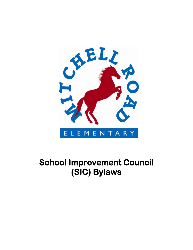

# **School Improvement Council (SIC)Bylaws**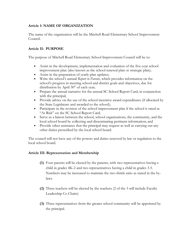## **Article 1: NAME OF ORGANIZATION**

The name of the organization will be the Mitchell Road Elementary School Improvement Council.

## **Article II: PURPOSE**

The purpose of Mitchell Road Elementary School Improvement Council will be to:

- Assist in the development, implementation and evaluation of the five-year school improvement plan (also known as the school renewal plan or strategic plan);
- Assist in the preparation of yearly plan updates;
- Write the school's annual *Report to Parents*, which provides information on the school's progress in meeting school and district goals and objectives, due for distribution by April  $30<sup>th</sup>$  of each year;
- Prepare the annual narrative for the annual SC School Report Card, in conjunction with the principal;
- Provide advice on the use of the school incentive award expenditures (if allocated by the State Legislature and awarded to the school);
- Participate in the revision of the school improvement plan if the school is rated as "At Risk" on the SC School Report Card;
- Serve as a liaison between the school, school organizations, the community, and the local school board by collecting and disseminating pertinent information; and
- Provide other assistance that the principal may request as well as carrying out any other duties prescribed by the local school board.

The council will not have any of the powers and duties reserved by law or regulation to the local school board.

## **Article III: Representation and Membership**

- **(1)** Four parents will be elected by the parents, with two representatives having a child in grades 4K-2 and two representatives having a child in grades 3-5. Numbers may be increased to maintain the two-thirds ratio as stated in the bylaws.
- **(2)** Three teachers will be elected by the teachers (2 of the 3 will include Faculty Leadership Co Chairs)
- **(3)** Three representatives from the greater school community will be appointed by the principal.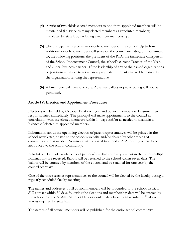- **(4)** A ratio of two-thirds elected members to one-third appointed members will be maintained (i.e. twice as many elected members as appointed members) mandated by state law, excluding ex-officio membership.
- **(5)** The principal will serve as an ex-officio member of the council. Up to four additional ex-officio members will serve on the council including but not limited to, the following positions: the president of the PTA, the immediate chairperson of the School Improvement Council, the school's current Teacher of the Year, and a local business partner. If the leadership of any of the named organizations or positions is unable to serve, an appropriate representative will be named by the organization sending the representative.
- **(6)** All members will have one vote. Absentee ballots or proxy voting will not be permitted.

## **Article IV: Election and Appointment Procedures**

Elections will be held by October 15 of each year and council members will assume their responsibilities immediately. The principal will make appointments to the council in consultation with the elected members within 14 days and/or as needed to maintain a balance of elected to appointed members.

Information about the upcoming election of parent representatives will be printed in the school newsletter, posted to the school's website and/or shared by other means of communication as needed. Nominees will be asked to attend a PTA meeting where to be introduced to the school community.

A ballot will be made available to all parents/guardians of every student in the event multiple nominations are received. Ballots will be returned to the school within seven days. The ballots will be counted by members of the council and be retained for one year by the council secretary.

One of the three teacher representatives to the council will be elected by the faculty during a regularly scheduled faculty meeting.

The names and addresses of all council members will be forwarded to the school districts SIC contact within 30 days following the elections and membership data will be entered by the school into the SC-SIC Member Network online data base by November 15<sup>th</sup> of each year as required by state law.

The names of all council members will be published for the entire school community.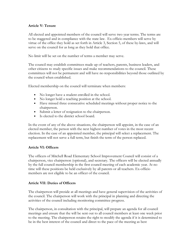## **Article V: Tenure**

All elected and appointed members of the council will serve two year terms. The terms are to be staggered and in compliance with the state law. Ex-officio members will serve by virtue of the office they hold as set forth in Article 3, Section 5, of these by-laws, and will serve on the council for as long as they hold that office.

No limit will be set on the number of terms a member may serve.

The council may establish committees made up of teachers, parents, business leaders, and other citizens to study specific issues and make recommendations to the council. These committees will not be permanent and will have no responsibilities beyond those outlined by the council when established.

Elected membership on the council will terminate when members:

- No longer have a student enrolled in the school.
- No longer hold a teaching position at the school.
- Have missed three consecutive scheduled meetings without proper notice to the chairperson.
- Submit a letter of resignation to the chairperson.
- Is elected to the district school board.

In the event of any of the above situations, the chairperson will appoint, in the case of an elected member, the person with the next highest number of votes in the most recent election. In the case of an appointed member, the principal will select a replacement. The replacement will not serve a full term, but finish the term of the person replaced.

#### **Article VI: Officers**

The officers of Mitchell Road Elementary School Improvement Council will consist of a chairperson, vice chairperson (optional), and secretary. The officers will be elected annually by the full council membership in the first council meeting of each academic year. At no time will these positions be held exclusively by all parents or all teachers. Ex-officio members are not eligible to be an officer of the council.

#### **Article VII: Duties of Officers**

The chairperson will preside at all meetings and have general supervision of the activities of the council. The chairperson will work with the principal in planning and directing the activities of the council including monitoring committee progress.

The chairperson, in consultation with the principal, will prepare an agenda for all council meetings and ensure that the will be sent out to all council members at least one week prior to the meeting. The chairperson retains the right to modify the agenda if it is determined to be in the best interest of the council and direct to the pace of the meeting as best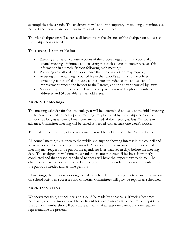accomplishes the agenda. The chairperson will appoint temporary or standing committees as needed and serve as an ex-officio member of all committees.

The vice chairperson will exercise all functions in the absence of the chairperson and assist the chairperson as needed.

The secretary is responsible for:

- Keeping a full and accurate account of the proceedings and transactions of all council meetings (minutes) and ensuring that each council member receives this information in a timely fashion following each meeting;
- Preparing any official correspondence that the chairperson may request;
- Assisting in maintaining a council file in the school's administrative offices containing copies of all minutes, council correspondence, the annual school improvement report, the Report to the Parents, and the current council by-laws;
- Maintaining a listing of council membership with current telephone numbers, addresses and (if available) e-mail addresses.

# **Article VIII: Meetings**

The meeting calendar for the academic year will be determined annually at the initial meeting by the newly elected council. Special meetings may be called by the chairperson or the principal as long as all council members are notified of the meeting at least 24 hours in advance. Committee meeting will be called as needed with at least one week's notice.

The first council meeting of the academic year will be held no later than September  $30<sup>th</sup>$ .

All council meetings are open to the public and anyone showing interest in the council and its activities will be encouraged to attend. Persons interested in presenting at a council meeting may request to be put on the agenda no later than seven days before the meeting date. The chairperson will time the agenda to ensure that council business is properly conducted and that person scheduled to speak will have the opportunity to do so. The chairperson has the option to schedule a segment of the agenda for open comments form the public as needed and as time permits.

At meetings, the principal or designee will be scheduled on the agenda to share information on school activities, successes and concerns. Committees will provide reports as scheduled.

## **Article IX: VOTING**

Whenever possible, council decision should be made by consensus. If voting becomes necessary, a simple majority will be sufficient for a vote on any issue. A simple majority of the council membership will constitute a quorum if at least one parent and one teacher representative are present.